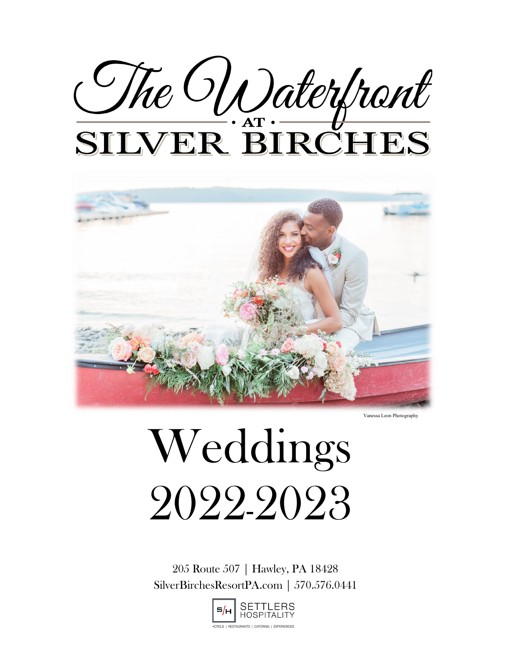# The Waterbort



Vanessa Leon Photography

# Weddings 2022-2023

205 Route 507 | Hawley, PA 18428 SilverBirchesResortPA.com | 570.576.0441

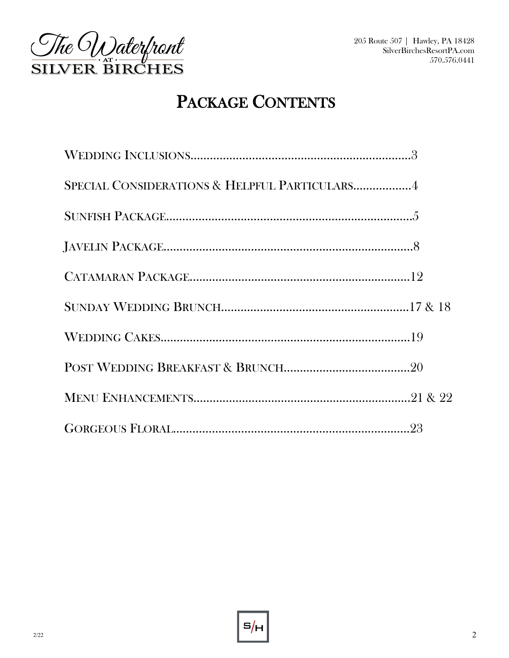

# PACKAGE CONTENTS

| SPECIAL CONSIDERATIONS & HELPFUL PARTICULARS4                  |  |
|----------------------------------------------------------------|--|
| $\textbf{SUNFISH} \text{ PACKAGE}.\textcolor{red}{\textbf{5}}$ |  |
|                                                                |  |
|                                                                |  |
|                                                                |  |
|                                                                |  |
|                                                                |  |
|                                                                |  |
|                                                                |  |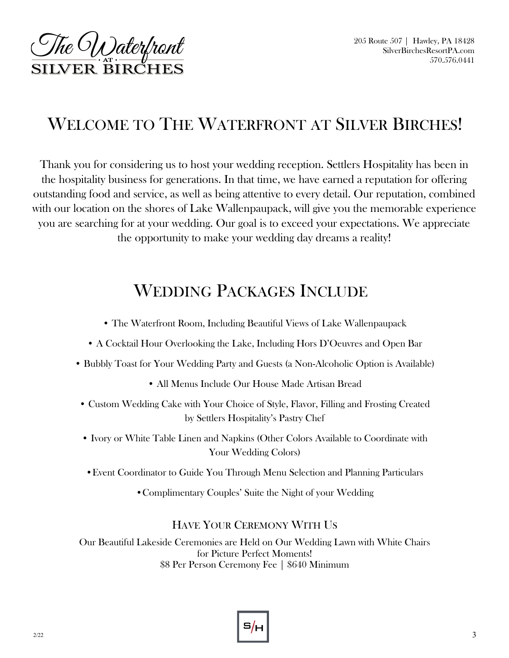

# WELCOME TO THE WATERFRONT AT SILVER BIRCHES!

Thank you for considering us to host your wedding reception. Settlers Hospitality has been in the hospitality business for generations. In that time, we have earned a reputation for offering outstanding food and service, as well as being attentive to every detail. Our reputation, combined with our location on the shores of Lake Wallenpaupack, will give you the memorable experience you are searching for at your wedding. Our goal is to exceed your expectations. We appreciate the opportunity to make your wedding day dreams a reality!

# WEDDING PACKAGES INCLUDE

- The Waterfront Room, Including Beautiful Views of Lake Wallenpaupack
- A Cocktail Hour Overlooking the Lake, Including Hors D'Oeuvres and Open Bar
- Bubbly Toast for Your Wedding Party and Guests (a Non-Alcoholic Option is Available)
	- All Menus Include Our House Made Artisan Bread
- Custom Wedding Cake with Your Choice of Style, Flavor, Filling and Frosting Created by Settlers Hospitality's Pastry Chef
- Ivory or White Table Linen and Napkins (Other Colors Available to Coordinate with Your Wedding Colors)
- •Event Coordinator to Guide You Through Menu Selection and Planning Particulars
	- •Complimentary Couples' Suite the Night of your Wedding

### HAVE YOUR CEREMONY WITH US

Our Beautiful Lakeside Ceremonies are Held on Our Wedding Lawn with White Chairs for Picture Perfect Moments! \$8 Per Person Ceremony Fee | \$640 Minimum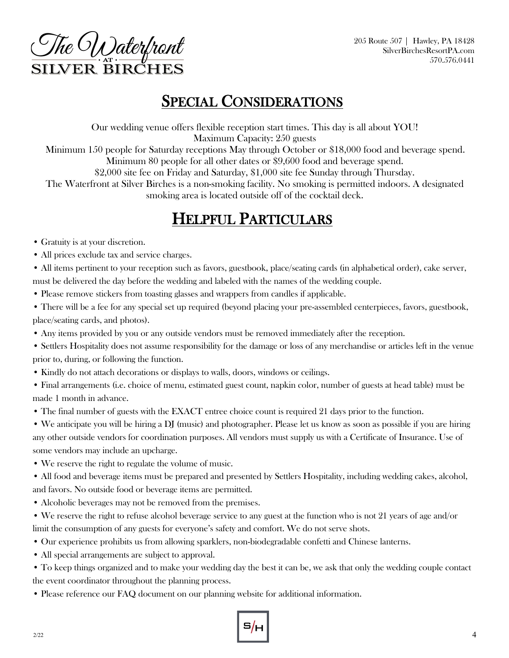The Waterfront **SILVER BIRCHES** 

## SPECIAL CONSIDERATIONS

Our wedding venue offers flexible reception start times. This day is all about YOU! Maximum Capacity: 250 guests

Minimum 150 people for Saturday receptions May through October or \$18,000 food and beverage spend. Minimum 80 people for all other dates or \$9,600 food and beverage spend.

\$2,000 site fee on Friday and Saturday, \$1,000 site fee Sunday through Thursday.

The Waterfront at Silver Birches is a non-smoking facility. No smoking is permitted indoors. A designated smoking area is located outside off of the cocktail deck.

# HELPFUL PARTICULARS

- Gratuity is at your discretion.
- All prices exclude tax and service charges.
- All items pertinent to your reception such as favors, guestbook, place/seating cards (in alphabetical order), cake server, must be delivered the day before the wedding and labeled with the names of the wedding couple.
- Please remove stickers from toasting glasses and wrappers from candles if applicable.
- There will be a fee for any special set up required (beyond placing your pre-assembled centerpieces, favors, guestbook, place/seating cards, and photos).
- Any items provided by you or any outside vendors must be removed immediately after the reception.
- Settlers Hospitality does not assume responsibility for the damage or loss of any merchandise or articles left in the venue prior to, during, or following the function.
- Kindly do not attach decorations or displays to walls, doors, windows or ceilings.
- Final arrangements (i.e. choice of menu, estimated guest count, napkin color, number of guests at head table) must be made 1 month in advance.
- The final number of guests with the EXACT entree choice count is required 21 days prior to the function.

• We anticipate you will be hiring a DJ (music) and photographer. Please let us know as soon as possible if you are hiring any other outside vendors for coordination purposes. All vendors must supply us with a Certificate of Insurance. Use of some vendors may include an upcharge.

• We reserve the right to regulate the volume of music.

• All food and beverage items must be prepared and presented by Settlers Hospitality, including wedding cakes, alcohol, and favors. No outside food or beverage items are permitted.

- Alcoholic beverages may not be removed from the premises.
- We reserve the right to refuse alcohol beverage service to any guest at the function who is not 21 years of age and/or limit the consumption of any guests for everyone's safety and comfort. We do not serve shots.
- Our experience prohibits us from allowing sparklers, non-biodegradable confetti and Chinese lanterns.
- All special arrangements are subject to approval.

• To keep things organized and to make your wedding day the best it can be, we ask that only the wedding couple contact the event coordinator throughout the planning process.

• Please reference our FAQ document on our planning website for additional information.

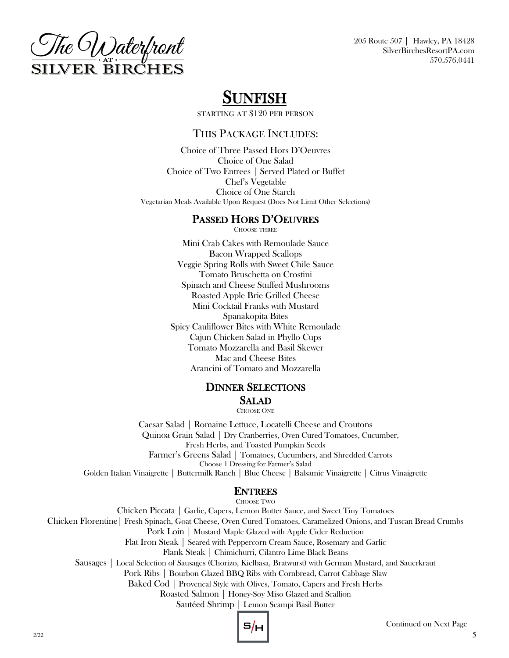

# SUNFISH

STARTING AT \$120 PER PERSON

### THIS PACKAGE INCLUDES:

Choice of Three Passed Hors D'Oeuvres Choice of One Salad Choice of Two Entrees | Served Plated or Buffet Chef's Vegetable Choice of One Starch Vegetarian Meals Available Upon Request (Does Not Limit Other Selections)

### PASSED HORS D'OEUVRES

CHOOSE THREE

Mini Crab Cakes with Remoulade Sauce Bacon Wrapped Scallops Veggie Spring Rolls with Sweet Chile Sauce Tomato Bruschetta on Crostini Spinach and Cheese Stuffed Mushrooms Roasted Apple Brie Grilled Cheese Mini Cocktail Franks with Mustard Spanakopita Bites Spicy Cauliflower Bites with White Remoulade Cajun Chicken Salad in Phyllo Cups Tomato Mozzarella and Basil Skewer Mac and Cheese Bites Arancini of Tomato and Mozzarella

### DINNER SELECTIONS SALAD

CHOOSE ONE

Caesar Salad | Romaine Lettuce, Locatelli Cheese and Croutons Quinoa Grain Salad | Dry Cranberries, Oven Cured Tomatoes, Cucumber, Fresh Herbs, and Toasted Pumpkin Seeds Farmer's Greens Salad | Tomatoes, Cucumbers, and Shredded Carrots Choose 1 Dressing for Farmer's Salad Golden Italian Vinaigrette | Buttermilk Ranch | Blue Cheese | Balsamic Vinaigrette | Citrus Vinaigrette

### ENTREES

CHOOSE TWO

Chicken Piccata | Garlic, Capers, Lemon Butter Sauce, and Sweet Tiny Tomatoes Chicken Florentine| Fresh Spinach, Goat Cheese, Oven Cured Tomatoes, Caramelized Onions, and Tuscan Bread Crumbs Pork Loin | Mustard Maple Glazed with Apple Cider Reduction Flat Iron Steak | Seared with Peppercorn Cream Sauce, Rosemary and Garlic Flank Steak | Chimichurri, Cilantro Lime Black Beans Sausages | Local Selection of Sausages (Chorizo, Kielbasa, Bratwurst) with German Mustard, and Sauerkraut Pork Ribs | Bourbon Glazed BBQ Ribs with Cornbread, Carrot Cabbage Slaw Baked Cod | Provencal Style with Olives, Tomato, Capers and Fresh Herbs Roasted Salmon | Honey-Soy Miso Glazed and Scallion Sautéed Shrimp | Lemon Scampi Basil Butter

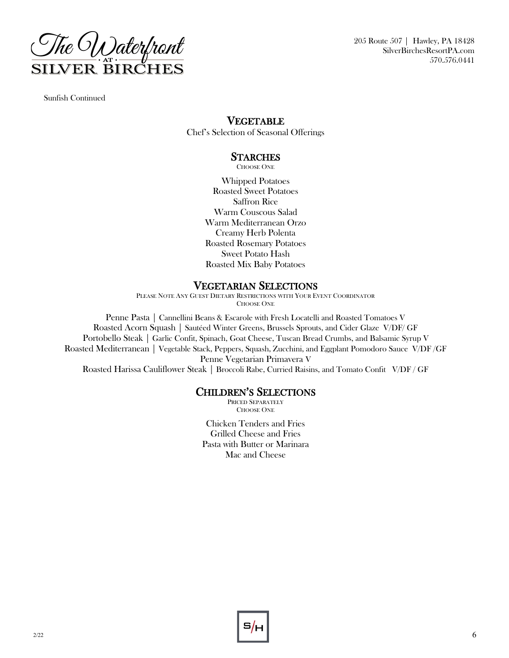

Sunfish Continued

### VEGETABLE

Chef's Selection of Seasonal Offerings

### **STARCHES**

CHOOSE ONE

Whipped Potatoes Roasted Sweet Potatoes Saffron Rice Warm Couscous Salad Warm Mediterranean Orzo Creamy Herb Polenta Roasted Rosemary Potatoes Sweet Potato Hash Roasted Mix Baby Potatoes

### VEGETARIAN SELECTIONS

PLEASE NOTE ANY GUEST DIETARY RESTRICTIONS WITH YOUR EVENT COORDINATOR CHOOSE ONE

Penne Pasta | Cannellini Beans & Escarole with Fresh Locatelli and Roasted Tomatoes V Roasted Acorn Squash | Sautéed Winter Greens, Brussels Sprouts, and Cider Glaze V/DF/ GF Portobello Steak | Garlic Confit, Spinach, Goat Cheese, Tuscan Bread Crumbs, and Balsamic Syrup V Roasted Mediterranean | Vegetable Stack, Peppers, Squash, Zucchini, and Eggplant Pomodoro Sauce V/DF /GF Penne Vegetarian Primavera V Roasted Harissa Cauliflower Steak | Broccoli Rabe, Curried Raisins, and Tomato Confit V/DF / GF

### CHILDREN'S SELECTIONS

PRICED SEPARATELY CHOOSE ONE

Chicken Tenders and Fries Grilled Cheese and Fries Pasta with Butter or Marinara Mac and Cheese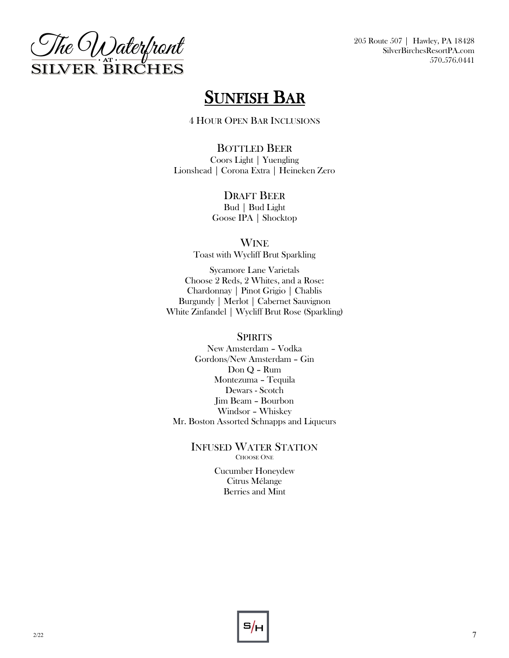

# SUNFISH BAR

4 HOUR OPEN BAR INCLUSIONS

BOTTLED BEER Coors Light | Yuengling Lionshead | Corona Extra | Heineken Zero

### DRAFT BEER

Bud | Bud Light Goose IPA | Shocktop

WINE

Toast with Wycliff Brut Sparkling

Sycamore Lane Varietals Choose 2 Reds, 2 Whites, and a Rose: Chardonnay | Pinot Grigio | Chablis Burgundy | Merlot | Cabernet Sauvignon White Zinfandel | Wycliff Brut Rose (Sparkling)

### **SPIRITS**

New Amsterdam – Vodka Gordons/New Amsterdam – Gin Don Q – Rum Montezuma – Tequila Dewars - Scotch Jim Beam – Bourbon Windsor – Whiskey Mr. Boston Assorted Schnapps and Liqueurs

> INFUSED WATER STATION CHOOSE ONE

> > Cucumber Honeydew Citrus Mélange Berries and Mint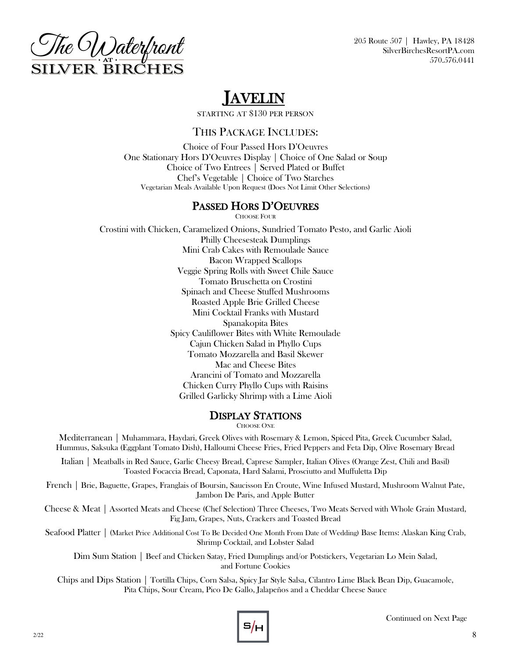

# JAVELIN

STARTING AT \$130 PER PERSON

### THIS PACKAGE INCLUDES:

Choice of Four Passed Hors D'Oeuvres One Stationary Hors D'Oeuvres Display | Choice of One Salad or Soup Choice of Two Entrees | Served Plated or Buffet Chef's Vegetable | Choice of Two Starches Vegetarian Meals Available Upon Request (Does Not Limit Other Selections)

### PASSED HORS D'OEUVRES

CHOOSE FOUR

Crostini with Chicken, Caramelized Onions, Sundried Tomato Pesto, and Garlic Aioli Philly Cheesesteak Dumplings Mini Crab Cakes with Remoulade Sauce Bacon Wrapped Scallops Veggie Spring Rolls with Sweet Chile Sauce Tomato Bruschetta on Crostini Spinach and Cheese Stuffed Mushrooms Roasted Apple Brie Grilled Cheese Mini Cocktail Franks with Mustard Spanakopita Bites Spicy Cauliflower Bites with White Remoulade Cajun Chicken Salad in Phyllo Cups Tomato Mozzarella and Basil Skewer Mac and Cheese Bites Arancini of Tomato and Mozzarella Chicken Curry Phyllo Cups with Raisins Grilled Garlicky Shrimp with a Lime Aioli

### DISPLAY STATIONS

CHOOSE ONE

Mediterranean | Muhammara, Haydari, Greek Olives with Rosemary & Lemon, Spiced Pita, Greek Cucumber Salad, Hummus, Saksuka (Eggplant Tomato Dish), Halloumi Cheese Fries, Fried Peppers and Feta Dip, Olive Rosemary Bread

Italian | Meatballs in Red Sauce, Garlic Cheesy Bread, Caprese Sampler, Italian Olives (Orange Zest, Chili and Basil) Toasted Focaccia Bread, Caponata, Hard Salami, Prosciutto and Muffuletta Dip

French | Brie, Baguette, Grapes, Franglais of Boursin, Saucisson En Croute, Wine Infused Mustard, Mushroom Walnut Pate, Jambon De Paris, and Apple Butter

Cheese & Meat | Assorted Meats and Cheese (Chef Selection) Three Cheeses, Two Meats Served with Whole Grain Mustard, Fig Jam, Grapes, Nuts, Crackers and Toasted Bread

Seafood Platter | (Market Price Additional Cost To Be Decided One Month From Date of Wedding) Base Items: Alaskan King Crab, Shrimp Cocktail, and Lobster Salad

Dim Sum Station | Beef and Chicken Satay, Fried Dumplings and/or Potstickers, Vegetarian Lo Mein Salad, and Fortune Cookies

Chips and Dips Station | Tortilla Chips, Corn Salsa, Spicy Jar Style Salsa, Cilantro Lime Black Bean Dip, Guacamole, Pita Chips, Sour Cream, Pico De Gallo, Jalapeños and a Cheddar Cheese Sauce

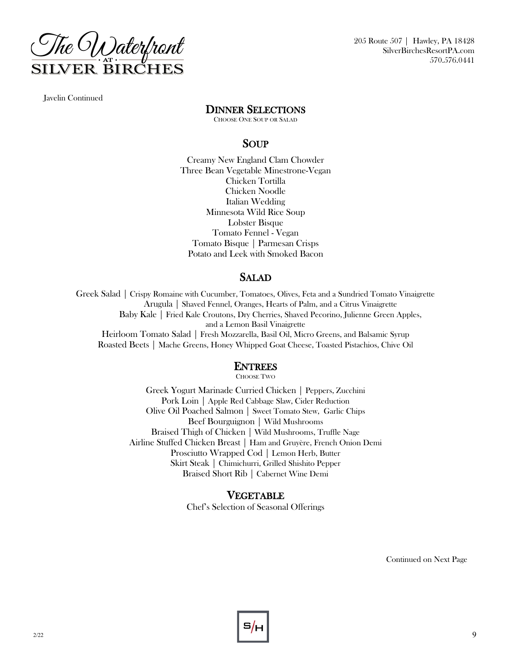

Javelin Continued

### DINNER SELECTIONS

CHOOSE ONE SOUP OR SALAD

### SOUP

Creamy New England Clam Chowder Three Bean Vegetable Minestrone-Vegan Chicken Tortilla Chicken Noodle Italian Wedding Minnesota Wild Rice Soup Lobster Bisque Tomato Fennel - Vegan Tomato Bisque | Parmesan Crisps Potato and Leek with Smoked Bacon

### SALAD

Greek Salad | Crispy Romaine with Cucumber, Tomatoes, Olives, Feta and a Sundried Tomato Vinaigrette Arugula | Shaved Fennel, Oranges, Hearts of Palm, and a Citrus Vinaigrette Baby Kale | Fried Kale Croutons, Dry Cherries, Shaved Pecorino, Julienne Green Apples, and a Lemon Basil Vinaigrette Heirloom Tomato Salad | Fresh Mozzarella, Basil Oil, Micro Greens, and Balsamic Syrup Roasted Beets | Mache Greens, Honey Whipped Goat Cheese, Toasted Pistachios, Chive Oil

### ENTREES

CHOOSE TWO

Greek Yogurt Marinade Curried Chicken | Peppers, Zucchini Pork Loin | Apple Red Cabbage Slaw, Cider Reduction Olive Oil Poached Salmon | Sweet Tomato Stew, Garlic Chips Beef Bourguignon | Wild Mushrooms Braised Thigh of Chicken | Wild Mushrooms, Truffle Nage Airline Stuffed Chicken Breast | Ham and Gruyère, French Onion Demi Prosciutto Wrapped Cod | Lemon Herb, Butter Skirt Steak | Chimichurri, Grilled Shishito Pepper Braised Short Rib | Cabernet Wine Demi

### VEGETABLE

Chef's Selection of Seasonal Offerings

Continued on Next Page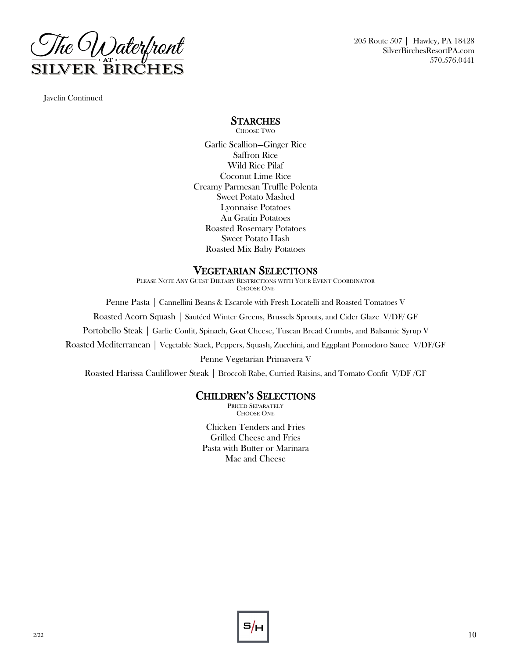

Javelin Continued

### **STARCHES**

CHOOSE TWO

Garlic Scallion—Ginger Rice Saffron Rice Wild Rice Pilaf Coconut Lime Rice Creamy Parmesan Truffle Polenta Sweet Potato Mashed Lyonnaise Potatoes Au Gratin Potatoes Roasted Rosemary Potatoes Sweet Potato Hash Roasted Mix Baby Potatoes

### VEGETARIAN SELECTIONS

PLEASE NOTE ANY GUEST DIETARY RESTRICTIONS WITH YOUR EVENT COORDINATOR CHOOSE ONE

Penne Pasta | Cannellini Beans & Escarole with Fresh Locatelli and Roasted Tomatoes V

Roasted Acorn Squash | Sautéed Winter Greens, Brussels Sprouts, and Cider Glaze V/DF/ GF

Portobello Steak | Garlic Confit, Spinach, Goat Cheese, Tuscan Bread Crumbs, and Balsamic Syrup V

Roasted Mediterranean | Vegetable Stack, Peppers, Squash, Zucchini, and Eggplant Pomodoro Sauce V/DF/GF

Penne Vegetarian Primavera V

Roasted Harissa Cauliflower Steak | Broccoli Rabe, Curried Raisins, and Tomato Confit V/DF /GF

### CHILDREN'S SELECTIONS

PRICED SEPARATELY CHOOSE ONE

Chicken Tenders and Fries Grilled Cheese and Fries Pasta with Butter or Marinara Mac and Cheese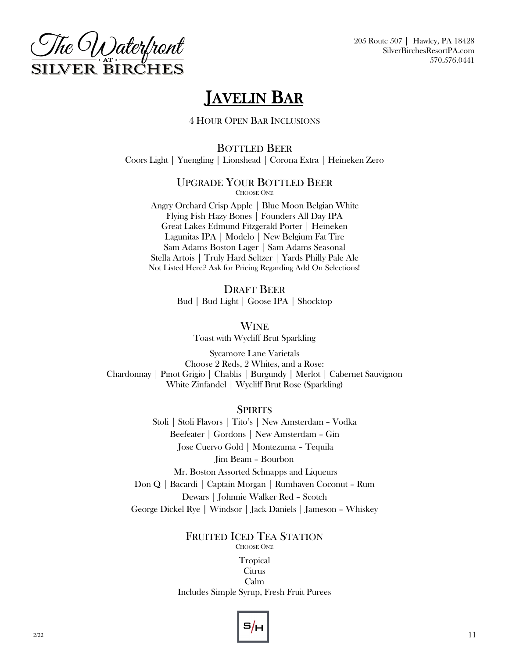

# JAVELIN BAR

4 HOUR OPEN BAR INCLUSIONS

BOTTLED BEER Coors Light | Yuengling | Lionshead | Corona Extra | Heineken Zero

### UPGRADE YOUR BOTTLED BEER CHOOSE ONE

Angry Orchard Crisp Apple | Blue Moon Belgian White Flying Fish Hazy Bones | Founders All Day IPA Great Lakes Edmund Fitzgerald Porter | Heineken Lagunitas IPA | Modelo | New Belgium Fat Tire Sam Adams Boston Lager | Sam Adams Seasonal Stella Artois | Truly Hard Seltzer | Yards Philly Pale Ale Not Listed Here? Ask for Pricing Regarding Add On Selections!

> DRAFT BEER Bud | Bud Light | Goose IPA | Shocktop

> > **WINE** Toast with Wycliff Brut Sparkling

Sycamore Lane Varietals Choose 2 Reds, 2 Whites, and a Rose: Chardonnay | Pinot Grigio | Chablis | Burgundy | Merlot | Cabernet Sauvignon White Zinfandel | Wycliff Brut Rose (Sparkling)

**SPIRITS** 

Stoli | Stoli Flavors | Tito's | New Amsterdam – Vodka Beefeater | Gordons | New Amsterdam – Gin Jose Cuervo Gold | Montezuma – Tequila Jim Beam – Bourbon Mr. Boston Assorted Schnapps and Liqueurs Don Q | Bacardi | Captain Morgan | Rumhaven Coconut – Rum Dewars | Johnnie Walker Red – Scotch George Dickel Rye | Windsor | Jack Daniels | Jameson – Whiskey

> FRUITED ICED TEA STATION CHOOSE ONE

**Tropical Citrus** Calm Includes Simple Syrup, Fresh Fruit Purees

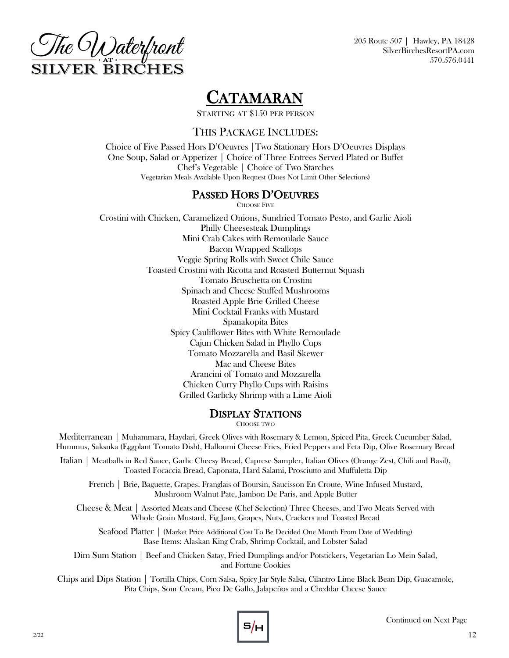

# CATAMARAN

STARTING AT \$150 PER PERSON

### THIS PACKAGE INCLUDES:

Choice of Five Passed Hors D'Oeuvres |Two Stationary Hors D'Oeuvres Displays One Soup, Salad or Appetizer | Choice of Three Entrees Served Plated or Buffet Chef's Vegetable | Choice of Two Starches Vegetarian Meals Available Upon Request (Does Not Limit Other Selections)

### PASSED HORS D'OEUVRES

CHOOSE FIVE

Crostini with Chicken, Caramelized Onions, Sundried Tomato Pesto, and Garlic Aioli Philly Cheesesteak Dumplings Mini Crab Cakes with Remoulade Sauce Bacon Wrapped Scallops Veggie Spring Rolls with Sweet Chile Sauce Toasted Crostini with Ricotta and Roasted Butternut Squash Tomato Bruschetta on Crostini Spinach and Cheese Stuffed Mushrooms Roasted Apple Brie Grilled Cheese Mini Cocktail Franks with Mustard Spanakopita Bites Spicy Cauliflower Bites with White Remoulade Cajun Chicken Salad in Phyllo Cups Tomato Mozzarella and Basil Skewer Mac and Cheese Bites Arancini of Tomato and Mozzarella Chicken Curry Phyllo Cups with Raisins Grilled Garlicky Shrimp with a Lime Aioli

### DISPLAY STATIONS

CHOOSE TWO

Mediterranean | Muhammara, Haydari, Greek Olives with Rosemary & Lemon, Spiced Pita, Greek Cucumber Salad, Hummus, Saksuka (Eggplant Tomato Dish), Halloumi Cheese Fries, Fried Peppers and Feta Dip, Olive Rosemary Bread

Italian | Meatballs in Red Sauce, Garlic Cheesy Bread, Caprese Sampler, Italian Olives (Orange Zest, Chili and Basil), Toasted Focaccia Bread, Caponata, Hard Salami, Prosciutto and Muffuletta Dip

French | Brie, Baguette, Grapes, Franglais of Boursin, Saucisson En Croute, Wine Infused Mustard, Mushroom Walnut Pate, Jambon De Paris, and Apple Butter

Cheese & Meat | Assorted Meats and Cheese (Chef Selection) Three Cheeses, and Two Meats Served with Whole Grain Mustard, Fig Jam, Grapes, Nuts, Crackers and Toasted Bread

Seafood Platter | (Market Price Additional Cost To Be Decided One Month From Date of Wedding) Base Items: Alaskan King Crab, Shrimp Cocktail, and Lobster Salad

Dim Sum Station | Beef and Chicken Satay, Fried Dumplings and/or Potstickers, Vegetarian Lo Mein Salad, and Fortune Cookies

Chips and Dips Station | Tortilla Chips, Corn Salsa, Spicy Jar Style Salsa, Cilantro Lime Black Bean Dip, Guacamole, Pita Chips, Sour Cream, Pico De Gallo, Jalapeños and a Cheddar Cheese Sauce

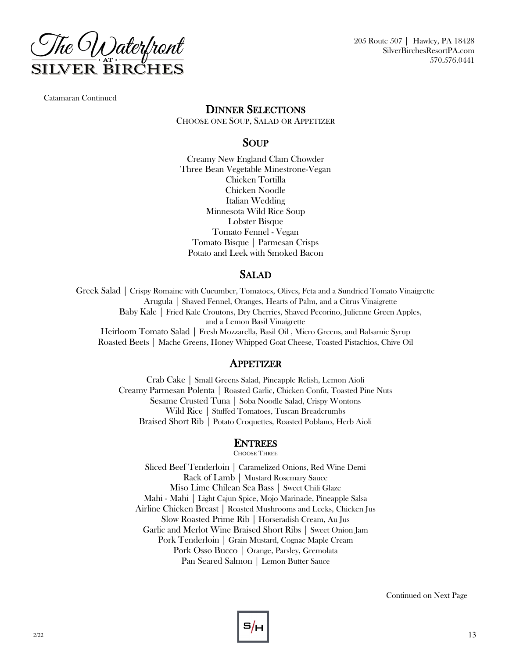

Catamaran Continued

### DINNER SELECTIONS

CHOOSE ONE SOUP, SALAD OR APPETIZER

### SOUP

Creamy New England Clam Chowder Three Bean Vegetable Minestrone-Vegan Chicken Tortilla Chicken Noodle Italian Wedding Minnesota Wild Rice Soup Lobster Bisque Tomato Fennel - Vegan Tomato Bisque | Parmesan Crisps Potato and Leek with Smoked Bacon

### SALAD

Greek Salad | Crispy Romaine with Cucumber, Tomatoes, Olives, Feta and a Sundried Tomato Vinaigrette Arugula | Shaved Fennel, Oranges, Hearts of Palm, and a Citrus Vinaigrette Baby Kale | Fried Kale Croutons, Dry Cherries, Shaved Pecorino, Julienne Green Apples, and a Lemon Basil Vinaigrette Heirloom Tomato Salad | Fresh Mozzarella, Basil Oil , Micro Greens, and Balsamic Syrup Roasted Beets | Mache Greens, Honey Whipped Goat Cheese, Toasted Pistachios, Chive Oil

### APPETIZER

Crab Cake | Small Greens Salad, Pineapple Relish, Lemon Aioli Creamy Parmesan Polenta | Roasted Garlic, Chicken Confit, Toasted Pine Nuts Sesame Crusted Tuna | Soba Noodle Salad, Crispy Wontons Wild Rice | Stuffed Tomatoes, Tuscan Breadcrumbs Braised Short Rib | Potato Croquettes, Roasted Poblano, Herb Aioli

### ENTREES

CHOOSE THREE

Sliced Beef Tenderloin | Caramelized Onions, Red Wine Demi Rack of Lamb | Mustard Rosemary Sauce Miso Lime Chilean Sea Bass | Sweet Chili Glaze Mahi - Mahi | Light Cajun Spice, Mojo Marinade, Pineapple Salsa Airline Chicken Breast | Roasted Mushrooms and Leeks, Chicken Jus Slow Roasted Prime Rib | Horseradish Cream, Au Jus Garlic and Merlot Wine Braised Short Ribs | Sweet Onion Jam Pork Tenderloin | Grain Mustard, Cognac Maple Cream Pork Osso Bucco | Orange, Parsley, Gremolata Pan Seared Salmon | Lemon Butter Sauce

Continued on Next Page

# $5/H$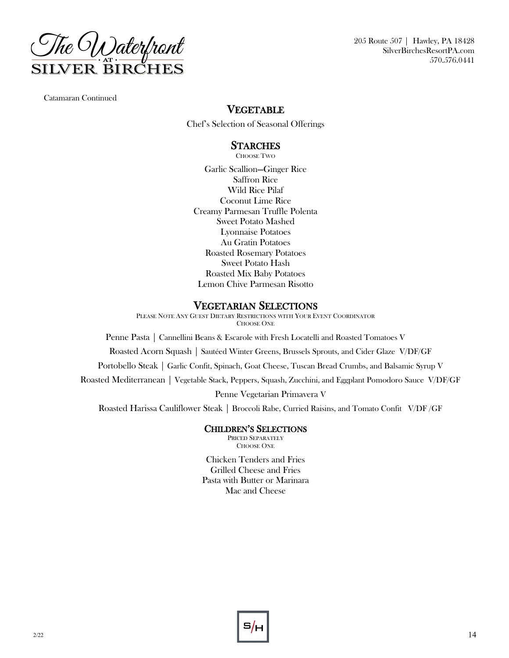

Catamaran Continued

### VEGETABLE

Chef's Selection of Seasonal Offerings

### **STARCHES**

CHOOSE TWO

Garlic Scallion—Ginger Rice Saffron Rice Wild Rice Pilaf Coconut Lime Rice Creamy Parmesan Truffle Polenta Sweet Potato Mashed Lyonnaise Potatoes Au Gratin Potatoes Roasted Rosemary Potatoes Sweet Potato Hash Roasted Mix Baby Potatoes Lemon Chive Parmesan Risotto

### VEGETARIAN SELECTIONS

PLEASE NOTE ANY GUEST DIETARY RESTRICTIONS WITH YOUR EVENT COORDINATOR CHOOSE ONE

Penne Pasta | Cannellini Beans & Escarole with Fresh Locatelli and Roasted Tomatoes V

Roasted Acorn Squash | Sautéed Winter Greens, Brussels Sprouts, and Cider Glaze V/DF/GF

Portobello Steak | Garlic Confit, Spinach, Goat Cheese, Tuscan Bread Crumbs, and Balsamic Syrup V

Roasted Mediterranean | Vegetable Stack, Peppers, Squash, Zucchini, and Eggplant Pomodoro Sauce V/DF/GF

Penne Vegetarian Primavera V

Roasted Harissa Cauliflower Steak | Broccoli Rabe, Curried Raisins, and Tomato Confit V/DF /GF

### CHILDREN'S SELECTIONS

PRICED SEPARATELY CHOOSE ONE

Chicken Tenders and Fries Grilled Cheese and Fries Pasta with Butter or Marinara Mac and Cheese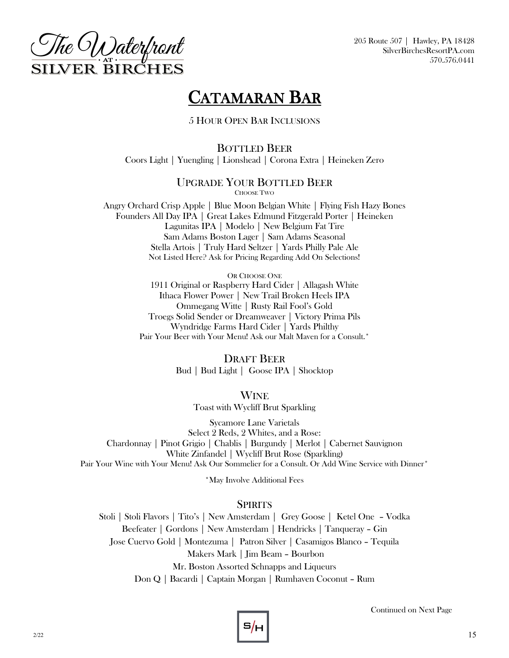

# CATAMARAN BAR

5 HOUR OPEN BAR INCLUSIONS

BOTTLED BEER Coors Light | Yuengling | Lionshead | Corona Extra | Heineken Zero

### UPGRADE YOUR BOTTLED BEER CHOOSE TWO

Angry Orchard Crisp Apple | Blue Moon Belgian White | Flying Fish Hazy Bones Founders All Day IPA | Great Lakes Edmund Fitzgerald Porter | Heineken Lagunitas IPA | Modelo | New Belgium Fat Tire Sam Adams Boston Lager | Sam Adams Seasonal Stella Artois | Truly Hard Seltzer | Yards Philly Pale Ale Not Listed Here? Ask for Pricing Regarding Add On Selections!

> OR CHOOSE ONE 1911 Original or Raspberry Hard Cider | Allagash White Ithaca Flower Power | New Trail Broken Heels IPA Ommegang Witte | Rusty Rail Fool's Gold Troegs Solid Sender or Dreamweaver | Victory Prima Pils Wyndridge Farms Hard Cider | Yards Philthy Pair Your Beer with Your Menu! Ask our Malt Maven for a Consult.\*

> > DRAFT BEER Bud | Bud Light | Goose IPA | Shocktop

> > > WINE

Toast with Wycliff Brut Sparkling

Sycamore Lane Varietals Select 2 Reds, 2 Whites, and a Rose: Chardonnay | Pinot Grigio | Chablis | Burgundy | Merlot | Cabernet Sauvignon White Zinfandel | Wycliff Brut Rose (Sparkling) Pair Your Wine with Your Menu! Ask Our Sommelier for a Consult. Or Add Wine Service with Dinner\*

\*May Involve Additional Fees

### **SPIRITS**

Stoli | Stoli Flavors | Tito's | New Amsterdam | Grey Goose | Ketel One – Vodka Beefeater | Gordons | New Amsterdam | Hendricks | Tanqueray – Gin Jose Cuervo Gold | Montezuma | Patron Silver | Casamigos Blanco – Tequila Makers Mark | Jim Beam – Bourbon Mr. Boston Assorted Schnapps and Liqueurs Don Q | Bacardi | Captain Morgan | Rumhaven Coconut – Rum

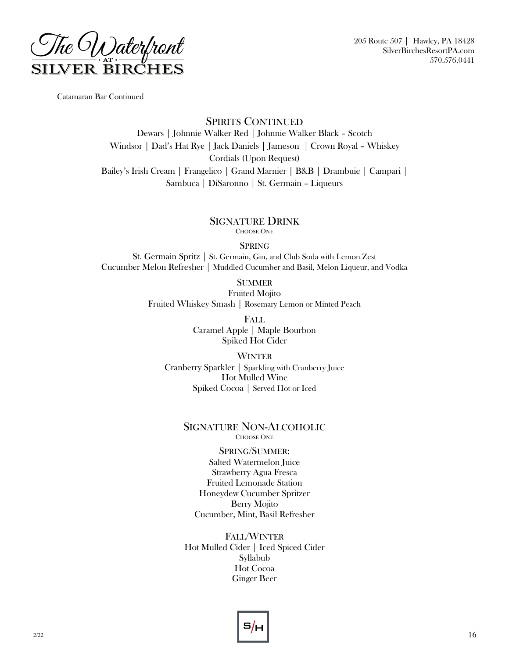

Catamaran Bar Continued

SPIRITS CONTINUED Dewars | Johnnie Walker Red | Johnnie Walker Black – Scotch Windsor | Dad's Hat Rye | Jack Daniels | Jameson | Crown Royal – Whiskey Cordials (Upon Request) Bailey's Irish Cream | Frangelico | Grand Marnier | B&B | Drambuie | Campari | Sambuca | DiSaronno | St. Germain – Liqueurs

> SIGNATURE DRINK CHOOSE ONE

> > **SPRING**

St. Germain Spritz | St. Germain, Gin, and Club Soda with Lemon Zest Cucumber Melon Refresher | Muddled Cucumber and Basil, Melon Liqueur, and Vodka

**SUMMER** 

Fruited Mojito Fruited Whiskey Smash | Rosemary Lemon or Minted Peach

> FALL Caramel Apple | Maple Bourbon Spiked Hot Cider

WINTER Cranberry Sparkler | Sparkling with Cranberry Juice Hot Mulled Wine Spiked Cocoa | Served Hot or Iced

### SIGNATURE NON-ALCOHOLIC CHOOSE ONE

SPRING/SUMMER: Salted Watermelon Juice Strawberry Agua Fresca Fruited Lemonade Station Honeydew Cucumber Spritzer Berry Mojito Cucumber, Mint, Basil Refresher

FALL/WINTER Hot Mulled Cider | Iced Spiced Cider Syllabub Hot Cocoa Ginger Beer

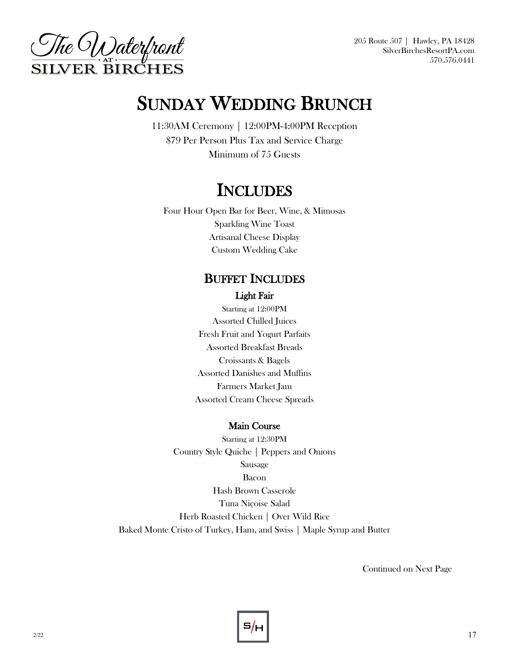

# SUNDAY WEDDING BRUNCH

11:30AM Ceremony | 12:00PM-4:00PM Reception \$79 Per Person Plus Tax and Service Charge Minimum of 75 Guests

# **INCLUDES**

Four Hour Open Bar for Beer, Wine, & Mimosas Sparkling Wine Toast Artisanal Cheese Display Custom Wedding Cake

### BUFFET INCLUDES

### Light Fair

Starting at 12:00PM Assorted Chilled Juices Fresh Fruit and Yogurt Parfaits Assorted Breakfast Breads Croissants & Bagels Assorted Danishes and Muffins Farmers Market Jam Assorted Cream Cheese Spreads

### Main Course

Starting at 12:30PM Country Style Quiche | Peppers and Onions Sausage Bacon Hash Brown Casserole Tuna Niçoise Salad Herb Roasted Chicken | Over Wild Rice Baked Monte Cristo of Turkey, Ham, and Swiss | Maple Syrup and Butter

Continued on Next Page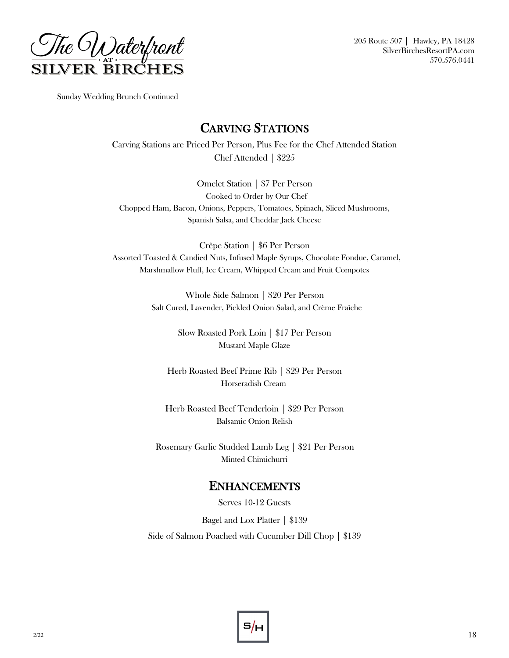

Sunday Wedding Brunch Continued

### CARVING STATIONS

Carving Stations are Priced Per Person, Plus Fee for the Chef Attended Station Chef Attended | \$225

Omelet Station | \$7 Per Person Cooked to Order by Our Chef Chopped Ham, Bacon, Onions, Peppers, Tomatoes, Spinach, Sliced Mushrooms, Spanish Salsa, and Cheddar Jack Cheese

Crêpe Station | \$6 Per Person Assorted Toasted & Candied Nuts, Infused Maple Syrups, Chocolate Fondue, Caramel, Marshmallow Fluff, Ice Cream, Whipped Cream and Fruit Compotes

> Whole Side Salmon | \$20 Per Person Salt Cured, Lavender, Pickled Onion Salad, and Crème Fraîche

> > Slow Roasted Pork Loin | \$17 Per Person Mustard Maple Glaze

Herb Roasted Beef Prime Rib | \$29 Per Person Horseradish Cream

Herb Roasted Beef Tenderloin | \$29 Per Person Balsamic Onion Relish

Rosemary Garlic Studded Lamb Leg | \$21 Per Person Minted Chimichurri

### ENHANCEMENTS

Serves 10-12 Guests

Bagel and Lox Platter | \$139

Side of Salmon Poached with Cucumber Dill Chop | \$139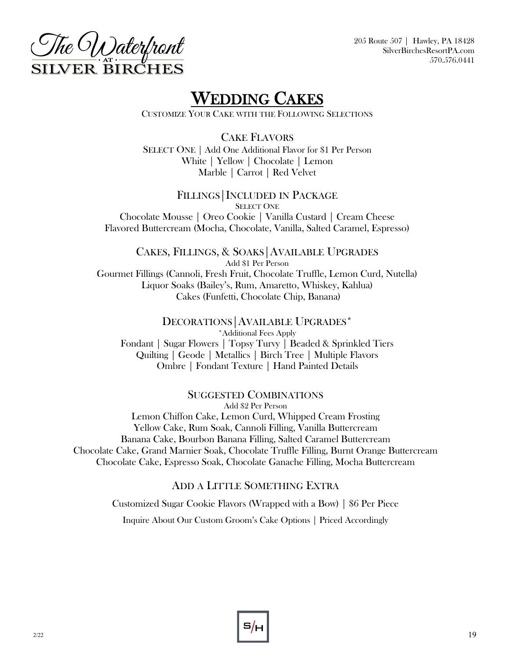



# WEDDING CAKES

CUSTOMIZE YOUR CAKE WITH THE FOLLOWING SELECTIONS

CAKE FLAVORS

SELECT ONE | Add One Additional Flavor for \$1 Per Person White | Yellow | Chocolate | Lemon Marble | Carrot | Red Velvet

FILLINGS|INCLUDED IN PACKAGE SELECT ONE Chocolate Mousse | Oreo Cookie | Vanilla Custard | Cream Cheese Flavored Buttercream (Mocha, Chocolate, Vanilla, Salted Caramel, Espresso)

CAKES, FILLINGS, & SOAKS|AVAILABLE UPGRADES Add \$1 Per Person Gourmet Fillings (Cannoli, Fresh Fruit, Chocolate Truffle, Lemon Curd, Nutella) Liquor Soaks (Bailey's, Rum, Amaretto, Whiskey, Kahlua) Cakes (Funfetti, Chocolate Chip, Banana)

DECORATIONS|AVAILABLE UPGRADES\* \*Additional Fees Apply Fondant | Sugar Flowers | Topsy Turvy | Beaded & Sprinkled Tiers Quilting | Geode | Metallics | Birch Tree | Multiple Flavors Ombre | Fondant Texture | Hand Painted Details

### SUGGESTED COMBINATIONS

Add \$2 Per Person Lemon Chiffon Cake, Lemon Curd, Whipped Cream Frosting Yellow Cake, Rum Soak, Cannoli Filling, Vanilla Buttercream Banana Cake, Bourbon Banana Filling, Salted Caramel Buttercream Chocolate Cake, Grand Marnier Soak, Chocolate Truffle Filling, Burnt Orange Buttercream Chocolate Cake, Espresso Soak, Chocolate Ganache Filling, Mocha Buttercream

### ADD A LITTLE SOMETHING EXTRA

Customized Sugar Cookie Flavors (Wrapped with a Bow) | \$6 Per Piece

Inquire About Our Custom Groom's Cake Options | Priced Accordingly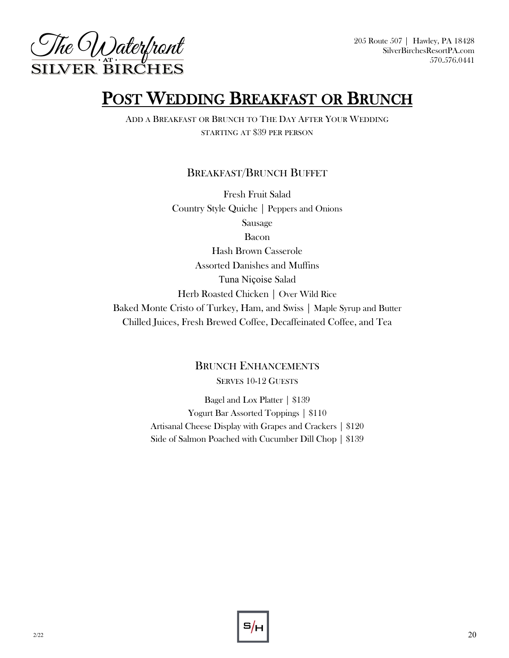

# POST WEDDING BREAKFAST OR BRUNCH

ADD A BREAKFAST OR BRUNCH TO THE DAY AFTER YOUR WEDDING STARTING AT \$39 PER PERSON

### BREAKFAST/BRUNCH BUFFET

Fresh Fruit Salad Country Style Quiche | Peppers and Onions Sausage Bacon Hash Brown Casserole Assorted Danishes and Muffins Tuna Niçoise Salad Herb Roasted Chicken | Over Wild Rice Baked Monte Cristo of Turkey, Ham, and Swiss | Maple Syrup and Butter Chilled Juices, Fresh Brewed Coffee, Decaffeinated Coffee, and Tea

### BRUNCH ENHANCEMENTS SERVES 10-12 GUESTS

Bagel and Lox Platter | \$139 Yogurt Bar Assorted Toppings | \$110 Artisanal Cheese Display with Grapes and Crackers | \$120 Side of Salmon Poached with Cucumber Dill Chop | \$139

2/22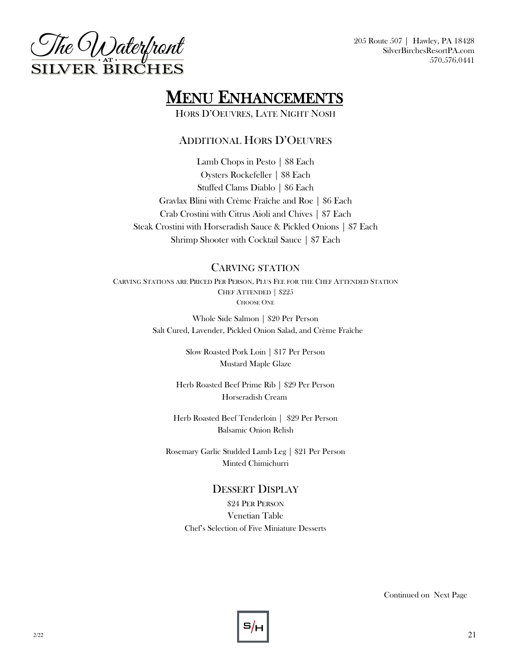

# **MENU ENHANCEMENTS**

HORS D'OEUVRES, LATE NIGHT NOSH

### ADDITIONAL HORS D'OEUVRES

Lamb Chops in Pesto | \$8 Each Oysters Rockefeller | \$8 Each Stuffed Clams Diablo | \$6 Each Gravlax Blini with Crème Fraîche and Roe | \$6 Each Crab Crostini with Citrus Aioli and Chives | \$7 Each Steak Crostini with Horseradish Sauce & Pickled Onions | \$7 Each Shrimp Shooter with Cocktail Sauce | \$7 Each

### CARVING STATION

CARVING STATIONS ARE PRICED PER PERSON, PLUS FEE FOR THE CHEF ATTENDED STATION CHEF ATTENDED | \$225 CHOOSE ONE

> Whole Side Salmon | \$20 Per Person Salt Cured, Lavender, Pickled Onion Salad, and Crème Fraîche

> > Slow Roasted Pork Loin | \$17 Per Person Mustard Maple Glaze

Herb Roasted Beef Prime Rib | \$29 Per Person Horseradish Cream

Herb Roasted Beef Tenderloin | \$29 Per Person Balsamic Onion Relish

Rosemary Garlic Studded Lamb Leg | \$21 Per Person Minted Chimichurri

### DESSERT DISPLAY

\$24 PER PERSON Venetian Table Chef's Selection of Five Miniature Desserts

Continued on Next Page

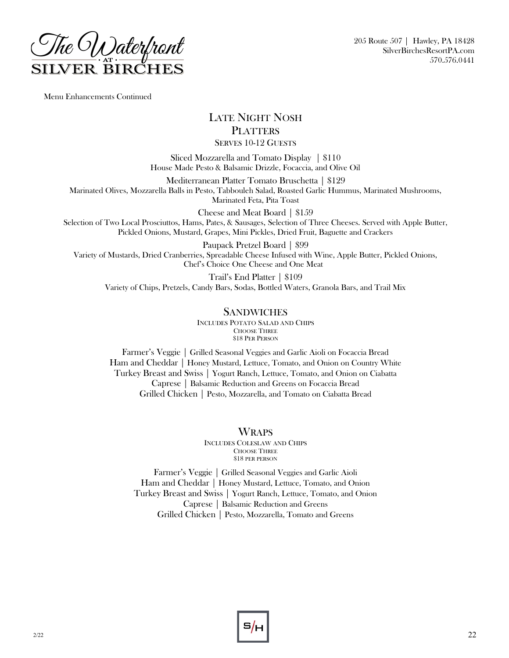

Menu Enhancements Continued

### LATE NIGHT NOSH **PLATTERS** SERVES 10-12 GUESTS

Sliced Mozzarella and Tomato Display | \$110 House Made Pesto & Balsamic Drizzle, Focaccia, and Olive Oil

Mediterranean Platter Tomato Bruschetta | \$129 Marinated Olives, Mozzarella Balls in Pesto, Tabbouleh Salad, Roasted Garlic Hummus, Marinated Mushrooms, Marinated Feta, Pita Toast

Cheese and Meat Board | \$159

Selection of Two Local Prosciuttos, Hams, Pates, & Sausages, Selection of Three Cheeses. Served with Apple Butter, Pickled Onions, Mustard, Grapes, Mini Pickles, Dried Fruit, Baguette and Crackers

Paupack Pretzel Board | \$99 Variety of Mustards, Dried Cranberries, Spreadable Cheese Infused with Wine, Apple Butter, Pickled Onions, Chef's Choice One Cheese and One Meat

Trail's End Platter | \$109 Variety of Chips, Pretzels, Candy Bars, Sodas, Bottled Waters, Granola Bars, and Trail Mix

### SANDWICHES

INCLUDES POTATO SALAD AND CHIPS CHOOSE THREE \$18 PER PERSON

Farmer's Veggie | Grilled Seasonal Veggies and Garlic Aioli on Focaccia Bread Ham and Cheddar | Honey Mustard, Lettuce, Tomato, and Onion on Country White Turkey Breast and Swiss | Yogurt Ranch, Lettuce, Tomato, and Onion on Ciabatta Caprese | Balsamic Reduction and Greens on Focaccia Bread Grilled Chicken | Pesto, Mozzarella, and Tomato on Ciabatta Bread

### **WRAPS**

INCLUDES COLESLAW AND CHIPS CHOOSE THREE \$18 PER PERSON

Farmer's Veggie | Grilled Seasonal Veggies and Garlic Aioli Ham and Cheddar | Honey Mustard, Lettuce, Tomato, and Onion Turkey Breast and Swiss | Yogurt Ranch, Lettuce, Tomato, and Onion Caprese | Balsamic Reduction and Greens Grilled Chicken | Pesto, Mozzarella, Tomato and Greens